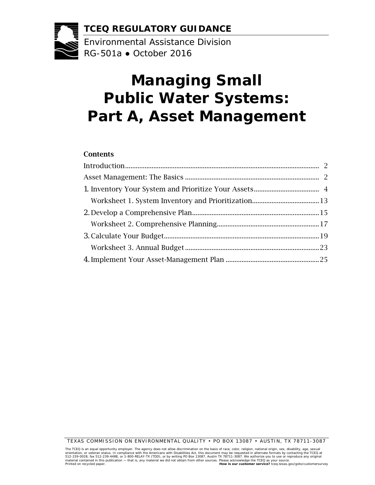**TCEQ REGULATORY GUIDANCE** 

Environmental Assistance Division RG-501a ● October 2016

# **Managing Small Public Water Systems: Part A, Asset Management**

#### Contents

TEXAS COMMISSION ON ENVIRONMENTAL QUALITY • PO BOX 13087 • AUSTIN, TX 78711-3087

The TCEQ is an equal opportunity employer. The agency does not allow discrimination on the basis of race, color, religion, national origin, sex ual<br>orientation, or veteran status. In compliance with the Americans with Disa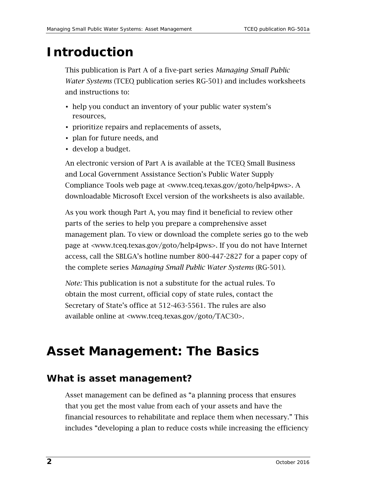# <span id="page-1-0"></span>**Introduction**

This publication is Part A of a five-part series *Managing Small Public Water Systems* (TCEQ publication series RG-501) and includes worksheets and instructions to:

- help you conduct an inventory of your public water system's resources,
- prioritize repairs and replacements of assets,
- plan for future needs, and
- develop a budget.

An electronic version of Part A is available at the TCEQ Small Business and Local Government Assistance Section's Public Water Supply Compliance Tools web page at [<www.tceq.texas.gov/goto/help4pws](www.tceq.texas.gov/goto/help4pws)>. A downloadable Microsoft Excel version of the worksheets is also available.

As you work though Part A, you may find it beneficial to review other parts of the series to help you prepare a comprehensive asset management plan. To view or download the complete series go to the web page at [<www.tceq.texas.gov/goto/help4pws>](www.tceq.texas.gov/goto/help4pws). If you do not have Internet access, call the SBLGA's hotline number 800-447-2827 for a paper copy of the complete series *Managing Small Public Water Systems* (RG-501).

*Note:* This publication is not a substitute for the actual rules. To obtain the most current, official copy of state rules, contact the Secretary of State's office at 512-463-5561. The rules are also available online at [<www.tceq.texas.gov/goto/TAC30](www.tceq.texas.gov/goto/TAC30)>.

# <span id="page-1-1"></span>**Asset Management: The Basics**

## **What is asset management?**

Asset management can be defined as "a planning process that ensures that you get the most value from each of your assets and have the financial resources to rehabilitate and replace them when necessary." This includes "developing a plan to reduce costs while increasing the efficiency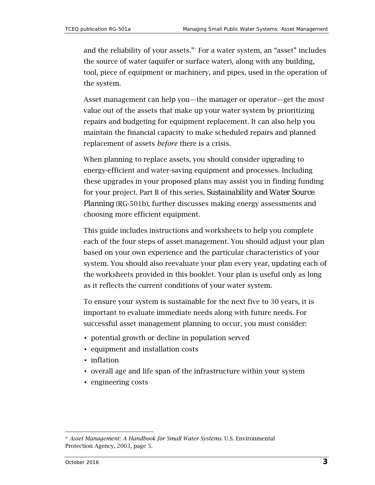and the reliability of your assets."[\\*](#page-2-0) For a water system, an "asset" includes the source of water (aquifer or surface water), along with any building, tool, piece of equipment or machinery, and pipes, used in the operation of the system.

Asset management can help you—the manager or operator—get the most value out of the assets that make up your water system by prioritizing repairs and budgeting for equipment replacement. It can also help you maintain the financial capacity to make scheduled repairs and planned replacement of assets *before* there is a crisis.

When planning to replace assets, you should consider upgrading to energy-efficient and water-saving equipment and processes. Including these upgrades in your proposed plans may assist you in finding funding for your project. Part B of this series, *Sustainability and Water Source Planning* (RG-501b), further discusses making energy assessments and choosing more efficient equipment.

This guide includes instructions and worksheets to help you complete each of the four steps of asset management. You should adjust your plan based on your own experience and the particular characteristics of your system. You should also reevaluate your plan every year, updating each of the worksheets provided in this booklet. Your plan is useful only as long as it reflects the current conditions of your water system.

To ensure your system is sustainable for the next five to 30 years, it is important to evaluate immediate needs along with future needs. For successful asset management planning to occur, you must consider:

- potential growth or decline in population served
- equipment and installation costs
- inflation
- overall age and life span of the infrastructure within your system
- engineering costs

<span id="page-2-0"></span><sup>\*</sup> *Asset Management: A Handbook for Small Water Systems.* U.S. Environmental Protection Agency, 2003, page 5.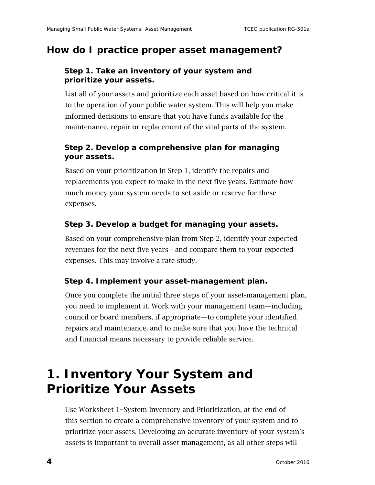### **How do I practice proper asset management?**

#### **Step 1. Take an inventory of your system and prioritize your assets.**

List all of your assets and prioritize each asset based on how critical it is to the operation of your public water system. This will help you make informed decisions to ensure that you have funds available for the maintenance, repair or replacement of the vital parts of the system.

#### **Step 2. Develop a comprehensive plan for managing your assets.**

Based on your prioritization in Step 1, identify the repairs and replacements you expect to make in the next five years. Estimate how much money your system needs to set aside or reserve for these expenses.

#### **Step 3. Develop a budget for managing your assets.**

Based on your comprehensive plan from Step 2, identify your expected revenues for the next five years—and compare them to your expected expenses. This may involve a rate study.

#### **Step 4. Implement your asset-management plan.**

Once you complete the initial three steps of your asset-management plan, you need to implement it. Work with your management team—including council or board members, if appropriate—to complete your identified repairs and maintenance, and to make sure that you have the technical and financial means necessary to provide reliable service.

# <span id="page-3-0"></span>**1. Inventory Your System and Prioritize Your Assets**

Use Worksheet 1−System Inventory and Prioritization, at the end of this section to create a comprehensive inventory of your system and to prioritize your assets. Developing an accurate inventory of your system's assets is important to overall asset management, as all other steps will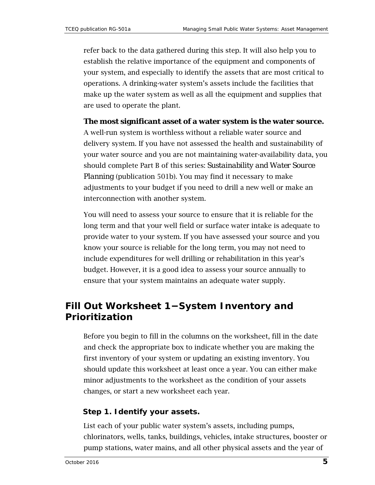refer back to the data gathered during this step. It will also help you to establish the relative importance of the equipment and components of your system, and especially to identify the assets that are most critical to operations. A drinking-water system's assets include the facilities that make up the water system as well as all the equipment and supplies that are used to operate the plant.

#### **The most significant asset of a water system is the water source.**

A well-run system is worthless without a reliable water source and delivery system. If you have not assessed the health and sustainability of your water source and you are not maintaining water-availability data, you should complete Part B of this series: *Sustainability and Water Source Planning* (publication 501b). You may find it necessary to make adjustments to your budget if you need to drill a new well or make an interconnection with another system.

You will need to assess your source to ensure that it is reliable for the long term and that your well field or surface water intake is adequate to provide water to your system. If you have assessed your source and you know your source is reliable for the long term, you may not need to include expenditures for well drilling or rehabilitation in this year's budget. However, it is a good idea to assess your source annually to ensure that your system maintains an adequate water supply.

## **Fill Out Worksheet 1−System Inventory and Prioritization**

Before you begin to fill in the columns on the worksheet, fill in the date and check the appropriate box to indicate whether you are making the first inventory of your system or updating an existing inventory. You should update this worksheet at least once a year. You can either make minor adjustments to the worksheet as the condition of your assets changes, or start a new worksheet each year.

#### **Step 1. Identify your assets.**

List each of your public water system's assets, including pumps, chlorinators, wells, tanks, buildings, vehicles, intake structures, booster or pump stations, water mains, and all other physical assets and the year of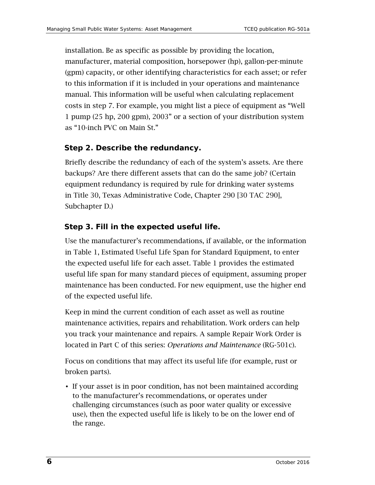installation. Be as specific as possible by providing the location, manufacturer, material composition, horsepower (hp), gallon-per-minute (gpm) capacity, or other identifying characteristics for each asset; or refer to this information if it is included in your operations and maintenance manual*.* This information will be useful when calculating replacement costs in step 7. For example, you might list a piece of equipment as "Well 1 pump (25 hp, 200 gpm), 2003" or a section of your distribution system as "10-inch PVC on Main St."

#### **Step 2. Describe the redundancy.**

Briefly describe the redundancy of each of the system's assets. Are there backups? Are there different assets that can do the same job? (Certain equipment redundancy is required by rule for drinking water systems in Title 30, Texas Administrative Code, Chapter 290 [30 TAC 290], Subchapter D.)

#### **Step 3. Fill in the expected useful life.**

Use the manufacturer's recommendations, if available, or the information in Table 1, Estimated Useful Life Span for Standard Equipment, to enter the expected useful life for each asset. Table 1 provides the estimated useful life span for many standard pieces of equipment, assuming proper maintenance has been conducted. For new equipment, use the higher end of the expected useful life.

Keep in mind the current condition of each asset as well as routine maintenance activities, repairs and rehabilitation. Work orders can help you track your maintenance and repairs. A sample Repair Work Order is located in Part C of this series: *Operations and Maintenance* (RG-501c).

Focus on conditions that may affect its useful life (for example, rust or broken parts).

• If your asset is in poor condition, has not been maintained according to the manufacturer's recommendations, or operates under challenging circumstances (such as poor water quality or excessive use), then the expected useful life is likely to be on the lower end of the range.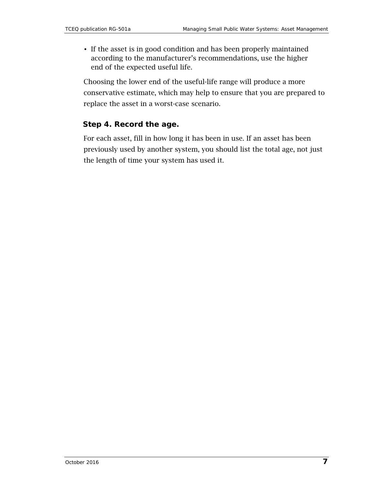• If the asset is in good condition and has been properly maintained according to the manufacturer's recommendations, use the higher end of the expected useful life.

Choosing the lower end of the useful-life range will produce a more conservative estimate, which may help to ensure that you are prepared to replace the asset in a worst-case scenario.

#### **Step 4. Record the age.**

For each asset, fill in how long it has been in use. If an asset has been previously used by another system, you should list the total age, not just the length of time your system has used it.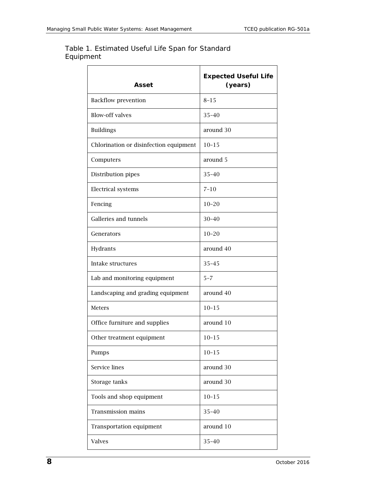#### Table 1. Estimated Useful Life Span for Standard Equipment

| Asset                                  | <b>Expected Useful Life</b><br>(years) |
|----------------------------------------|----------------------------------------|
| <b>Backflow prevention</b>             | $8 - 15$                               |
| <b>Blow-off valves</b>                 | $35 - 40$                              |
| <b>Buildings</b>                       | around 30                              |
| Chlorination or disinfection equipment | $10 - 15$                              |
| Computers                              | around 5                               |
| Distribution pipes                     | $35 - 40$                              |
| Electrical systems                     | $7 - 10$                               |
| Fencing                                | $10 - 20$                              |
| Galleries and tunnels                  | $30 - 40$                              |
| Generators                             | $10 - 20$                              |
| Hydrants                               | around 40                              |
| Intake structures                      | $35 - 45$                              |
| Lab and monitoring equipment           | $5 - 7$                                |
| Landscaping and grading equipment      | around 40                              |
| Meters                                 | $10 - 15$                              |
| Office furniture and supplies          | around 10                              |
| Other treatment equipment              | $10 - 15$                              |
| Pumps                                  | $10 - 15$                              |
| Service lines                          | around 30                              |
| Storage tanks                          | around 30                              |
| Tools and shop equipment               | $10 - 15$                              |
| <b>Transmission mains</b>              | $35 - 40$                              |
| Transportation equipment               | around 10                              |
| <b>Valves</b>                          | $35 - 40$                              |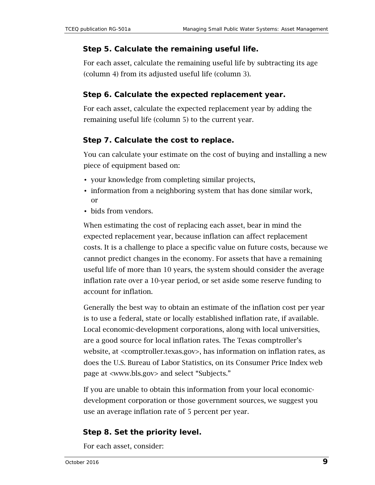#### **Step 5. Calculate the remaining useful life.**

For each asset, calculate the remaining useful life by subtracting its age (column 4) from its adjusted useful life (column 3).

#### **Step 6. Calculate the expected replacement year.**

For each asset, calculate the expected replacement year by adding the remaining useful life (column 5) to the current year.

#### **Step 7. Calculate the cost to replace.**

You can calculate your estimate on the cost of buying and installing a new piece of equipment based on:

- your knowledge from completing similar projects,
- information from a neighboring system that has done similar work, or
- bids from vendors.

When estimating the cost of replacing each asset, bear in mind the expected replacement year, because inflation can affect replacement costs. It is a challenge to place a specific value on future costs, because we cannot predict changes in the economy. For assets that have a remaining useful life of more than 10 years, the system should consider the average inflation rate over a 10-year period, or set aside some reserve funding to account for inflation.

Generally the best way to obtain an estimate of the inflation cost per year is to use a federal, state or locally established inflation rate, if available. Local economic-development corporations, along with local universities, are a good source for local inflation rates. The Texas comptroller's website, at [<comptroller.texas.gov>](http://comptroller.texas.gov/), has information on inflation rates, as does the U.S. Bureau of Labor Statistics, on its Consumer Price Index web page at [<www.bls.gov>](http://www.bls.gov/) and select "Subjects."

If you are unable to obtain this information from your local economicdevelopment corporation or those government sources, we suggest you use an average inflation rate of 5 percent per year.

#### **Step 8. Set the priority level.**

For each asset, consider: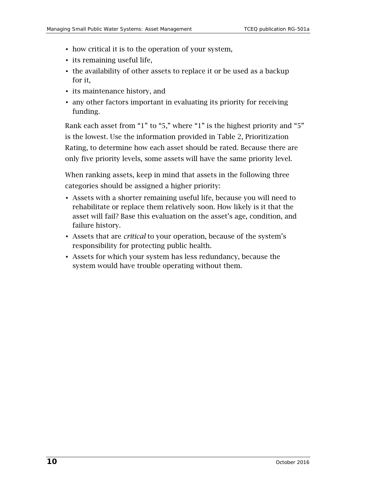- how critical it is to the operation of your system,
- its remaining useful life,
- the availability of other assets to replace it or be used as a backup for it,
- its maintenance history, and
- any other factors important in evaluating its priority for receiving funding.

Rank each asset from "1" to "5," where "1" is the highest priority and "5" is the lowest. Use the information provided in Table 2, Prioritization Rating, to determine how each asset should be rated. Because there are only five priority levels, some assets will have the same priority level.

When ranking assets, keep in mind that assets in the following three categories should be assigned a higher priority:

- Assets with a shorter remaining useful life, because you will need to rehabilitate or replace them relatively soon. How likely is it that the asset will fail? Base this evaluation on the asset's age, condition, and failure history.
- Assets that are *critical* to your operation, because of the system's responsibility for protecting public health.
- Assets for which your system has less redundancy, because the system would have trouble operating without them.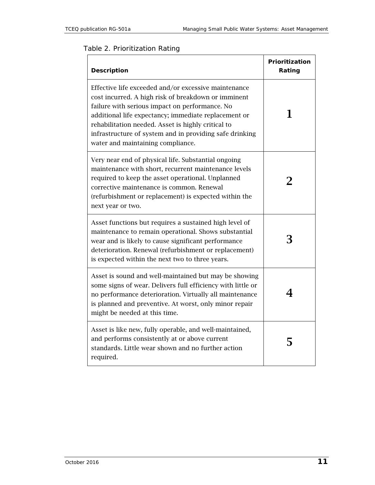#### Table 2. Prioritization Rating

| Description                                                                                                                                                                                                                                                                                                                                                                 | Prioritization<br>Rating |
|-----------------------------------------------------------------------------------------------------------------------------------------------------------------------------------------------------------------------------------------------------------------------------------------------------------------------------------------------------------------------------|--------------------------|
| Effective life exceeded and/or excessive maintenance<br>cost incurred. A high risk of breakdown or imminent<br>failure with serious impact on performance. No<br>additional life expectancy; immediate replacement or<br>rehabilitation needed. Asset is highly critical to<br>infrastructure of system and in providing safe drinking<br>water and maintaining compliance. |                          |
| Very near end of physical life. Substantial ongoing<br>maintenance with short, recurrent maintenance levels<br>required to keep the asset operational. Unplanned<br>corrective maintenance is common. Renewal<br>(refurbishment or replacement) is expected within the<br>next year or two.                                                                                 | $\mathbf 2$              |
| Asset functions but requires a sustained high level of<br>maintenance to remain operational. Shows substantial<br>wear and is likely to cause significant performance<br>deterioration. Renewal (refurbishment or replacement)<br>is expected within the next two to three years.                                                                                           | 3                        |
| Asset is sound and well-maintained but may be showing<br>some signs of wear. Delivers full efficiency with little or<br>no performance deterioration. Virtually all maintenance<br>is planned and preventive. At worst, only minor repair<br>might be needed at this time.                                                                                                  |                          |
| Asset is like new, fully operable, and well-maintained,<br>and performs consistently at or above current<br>standards. Little wear shown and no further action<br>required.                                                                                                                                                                                                 |                          |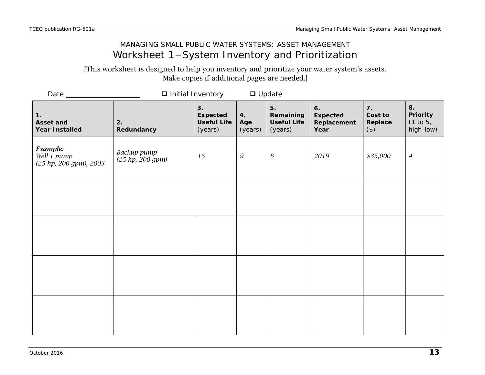### MANAGING SMALL PUBLIC WATER SYSTEMS: ASSET MANAGEMENT Worksheet 1−System Inventory and Prioritization

[This worksheet is designed to help you inventory and prioritize your water system's assets. Make copies if additional pages are needed.]

<span id="page-12-0"></span>

|                                                   | <b>Q</b> Initial Inventory      |                                                        |                      | $\Box$ Update                                    |                                       |                                     |                                                |
|---------------------------------------------------|---------------------------------|--------------------------------------------------------|----------------------|--------------------------------------------------|---------------------------------------|-------------------------------------|------------------------------------------------|
| 1.<br>Asset and<br><b>Year Installed</b>          | 2.<br>Redundancy                | 3.<br><b>Expected</b><br><b>Useful Life</b><br>(years) | 4.<br>Age<br>(years) | 5.<br>Remaining<br><b>Useful Life</b><br>(years) | 6.<br>Expected<br>Replacement<br>Year | 7.<br>Cost to<br>Replace<br>$($ \$) | 8.<br><b>Priority</b><br>(1 to 5,<br>high-low) |
| Example:<br>Well 1 pump<br>(25 hp, 200 gpm), 2003 | Backup pump<br>(25 hp, 200 gpm) | 15                                                     | $\boldsymbol{9}$     | 6                                                | 2019                                  | \$35,000                            | $\overline{4}$                                 |
|                                                   |                                 |                                                        |                      |                                                  |                                       |                                     |                                                |
|                                                   |                                 |                                                        |                      |                                                  |                                       |                                     |                                                |
|                                                   |                                 |                                                        |                      |                                                  |                                       |                                     |                                                |
|                                                   |                                 |                                                        |                      |                                                  |                                       |                                     |                                                |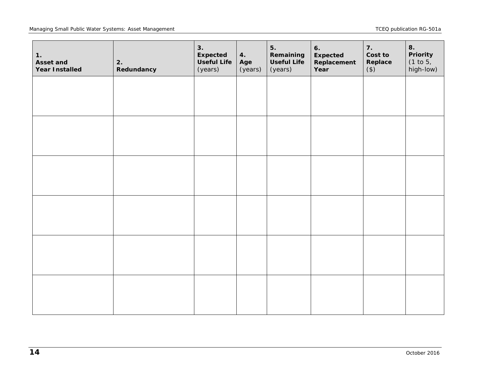#### Managing Small Public Water Systems: Asset Management **TCEQ** publication RG-501a

| 1.<br>Asset and<br><b>Year Installed</b> | 2.<br>Redundancy | 3.<br><b>Expected</b><br><b>Useful Life</b><br>(years) | 4.<br>Age<br>(years) | 5.<br>Remaining<br><b>Useful Life</b><br>(years) | 6.<br><b>Expected</b><br>Replacement<br>Year | 7.<br>Cost to<br>Replace<br>$($ \$) | 8.<br>Priority<br>(1 to 5,<br>high-low) |
|------------------------------------------|------------------|--------------------------------------------------------|----------------------|--------------------------------------------------|----------------------------------------------|-------------------------------------|-----------------------------------------|
|                                          |                  |                                                        |                      |                                                  |                                              |                                     |                                         |
|                                          |                  |                                                        |                      |                                                  |                                              |                                     |                                         |
|                                          |                  |                                                        |                      |                                                  |                                              |                                     |                                         |
|                                          |                  |                                                        |                      |                                                  |                                              |                                     |                                         |
|                                          |                  |                                                        |                      |                                                  |                                              |                                     |                                         |
|                                          |                  |                                                        |                      |                                                  |                                              |                                     |                                         |
|                                          |                  |                                                        |                      |                                                  |                                              |                                     |                                         |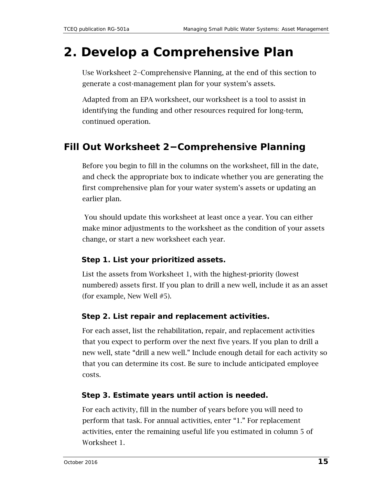# <span id="page-14-0"></span>**2. Develop a Comprehensive Plan**

Use Worksheet 2−Comprehensive Planning, at the end of this section to generate a cost-management plan for your system's assets.

Adapted from an EPA worksheet, our worksheet is a tool to assist in identifying the funding and other resources required for long-term, continued operation.

## **Fill Out Worksheet 2−Comprehensive Planning**

Before you begin to fill in the columns on the worksheet, fill in the date, and check the appropriate box to indicate whether you are generating the first comprehensive plan for your water system's assets or updating an earlier plan.

You should update this worksheet at least once a year. You can either make minor adjustments to the worksheet as the condition of your assets change, or start a new worksheet each year.

#### **Step 1. List your prioritized assets.**

List the assets from Worksheet 1, with the highest-priority (lowest numbered) assets first. If you plan to drill a new well, include it as an asset (for example, New Well #5).

#### **Step 2. List repair and replacement activities.**

For each asset, list the rehabilitation, repair, and replacement activities that you expect to perform over the next five years. If you plan to drill a new well, state "drill a new well." Include enough detail for each activity so that you can determine its cost. Be sure to include anticipated employee costs.

#### **Step 3. Estimate years until action is needed.**

For each activity, fill in the number of years before you will need to perform that task. For annual activities, enter "1." For replacement activities, enter the remaining useful life you estimated in column 5 of Worksheet 1.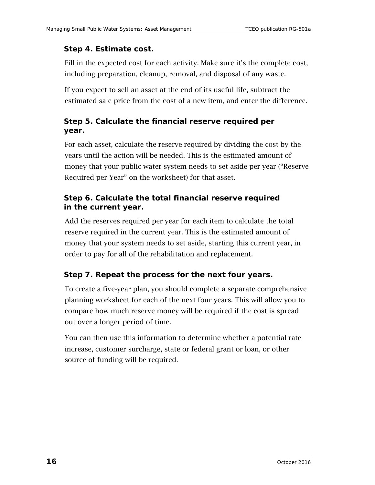#### **Step 4. Estimate cost.**

Fill in the expected cost for each activity. Make sure it's the complete cost, including preparation, cleanup, removal, and disposal of any waste.

If you expect to sell an asset at the end of its useful life, subtract the estimated sale price from the cost of a new item, and enter the difference.

### **Step 5. Calculate the financial reserve required per year.**

For each asset, calculate the reserve required by dividing the cost by the years until the action will be needed. This is the estimated amount of money that your public water system needs to set aside per year ("Reserve Required per Year" on the worksheet) for that asset.

#### **Step 6. Calculate the total financial reserve required in the current year.**

Add the reserves required per year for each item to calculate the total reserve required in the current year. This is the estimated amount of money that your system needs to set aside, starting this current year, in order to pay for all of the rehabilitation and replacement.

### **Step 7. Repeat the process for the next four years.**

To create a five-year plan, you should complete a separate comprehensive planning worksheet for each of the next four years. This will allow you to compare how much reserve money will be required if the cost is spread out over a longer period of time.

You can then use this information to determine whether a potential rate increase, customer surcharge, state or federal grant or loan, or other source of funding will be required.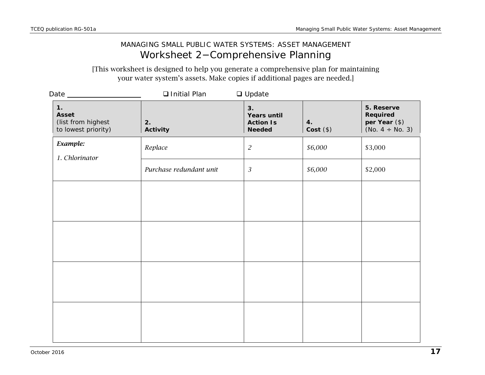### MANAGING SMALL PUBLIC WATER SYSTEMS: ASSET MANAGEMENT Worksheet 2−Comprehensive Planning

[This worksheet is designed to help you generate a comprehensive plan for maintaining your water system's assets. Make copies if additional pages are needed.]

<span id="page-16-0"></span>

| Date _________                                                  | □ Initial Plan          | $\Box$ Update                                                 |                     |                                                                 |
|-----------------------------------------------------------------|-------------------------|---------------------------------------------------------------|---------------------|-----------------------------------------------------------------|
| 1.<br><b>Asset</b><br>(list from highest<br>to lowest priority) | 2.<br>Activity          | 3.<br><b>Years until</b><br><b>Action Is</b><br><b>Needed</b> | 4.<br>$Cost$ $(\$)$ | 5. Reserve<br>Required<br>per Year (\$)<br>(No. $4 \div$ No. 3) |
| Example:<br>1. Chlorinator                                      | Replace                 | $\sqrt{2}$                                                    | \$6,000             | \$3,000                                                         |
|                                                                 | Purchase redundant unit | $\sqrt{3}$                                                    | \$6,000             | \$2,000                                                         |
|                                                                 |                         |                                                               |                     |                                                                 |
|                                                                 |                         |                                                               |                     |                                                                 |
|                                                                 |                         |                                                               |                     |                                                                 |
|                                                                 |                         |                                                               |                     |                                                                 |
|                                                                 |                         |                                                               |                     |                                                                 |
|                                                                 |                         |                                                               |                     |                                                                 |
|                                                                 |                         |                                                               |                     |                                                                 |
|                                                                 |                         |                                                               |                     |                                                                 |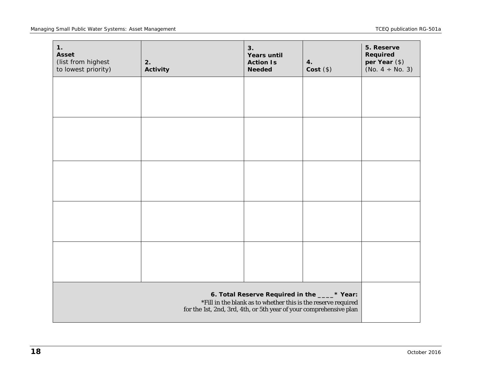| 1.<br><b>Asset</b><br>(list from highest<br>to lowest priority) | 2.<br>Activity | 3.<br><b>Years until</b><br><b>Action Is</b><br><b>Needed</b> | 4.<br>$Cost$ (\$) | 5. Reserve<br>Required<br>per Year (\$)<br>(No. $4 \div$ No. 3) |
|-----------------------------------------------------------------|----------------|---------------------------------------------------------------|-------------------|-----------------------------------------------------------------|
|                                                                 |                |                                                               |                   |                                                                 |
|                                                                 |                |                                                               |                   |                                                                 |
|                                                                 |                |                                                               |                   |                                                                 |
|                                                                 |                |                                                               |                   |                                                                 |
|                                                                 |                |                                                               |                   |                                                                 |
|                                                                 |                |                                                               |                   |                                                                 |
|                                                                 |                |                                                               |                   |                                                                 |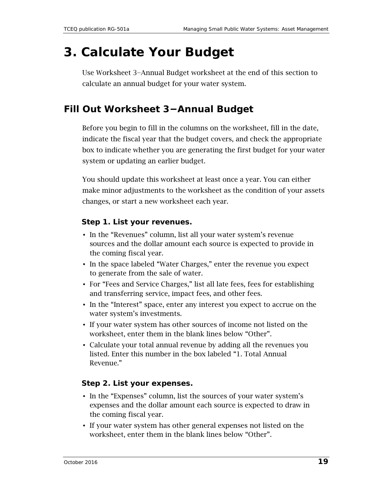# <span id="page-18-0"></span>**3. Calculate Your Budget**

Use Worksheet 3−Annual Budget worksheet at the end of this section to calculate an annual budget for your water system.

## **Fill Out Worksheet 3−Annual Budget**

Before you begin to fill in the columns on the worksheet, fill in the date, indicate the fiscal year that the budget covers, and check the appropriate box to indicate whether you are generating the first budget for your water system or updating an earlier budget.

You should update this worksheet at least once a year. You can either make minor adjustments to the worksheet as the condition of your assets changes, or start a new worksheet each year.

#### **Step 1. List your revenues.**

- In the "Revenues" column, list all your water system's revenue sources and the dollar amount each source is expected to provide in the coming fiscal year.
- In the space labeled "Water Charges," enter the revenue you expect to generate from the sale of water.
- For "Fees and Service Charges," list all late fees, fees for establishing and transferring service, impact fees, and other fees.
- In the "Interest" space, enter any interest you expect to accrue on the water system's investments.
- If your water system has other sources of income not listed on the worksheet, enter them in the blank lines below "Other".
- Calculate your total annual revenue by adding all the revenues you listed. Enter this number in the box labeled "1. Total Annual Revenue."

#### **Step 2. List your expenses.**

- In the "Expenses" column, list the sources of your water system's expenses and the dollar amount each source is expected to draw in the coming fiscal year.
- If your water system has other general expenses not listed on the worksheet, enter them in the blank lines below "Other".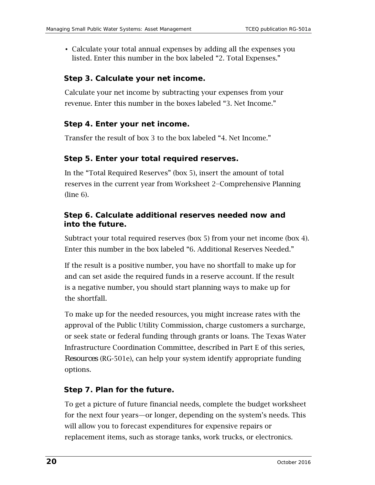• Calculate your total annual expenses by adding all the expenses you listed. Enter this number in the box labeled "2. Total Expenses."

#### **Step 3. Calculate your net income.**

Calculate your net income by subtracting your expenses from your revenue. Enter this number in the boxes labeled "3. Net Income."

#### **Step 4. Enter your net income.**

Transfer the result of box 3 to the box labeled "4. Net Income."

#### **Step 5. Enter your total required reserves.**

In the "Total Required Reserves" (box 5), insert the amount of total reserves in the current year from Worksheet 2−Comprehensive Planning (line 6).

#### **Step 6. Calculate additional reserves needed now and into the future.**

Subtract your total required reserves (box 5) from your net income (box 4). Enter this number in the box labeled "6. Additional Reserves Needed."

If the result is a positive number, you have no shortfall to make up for and can set aside the required funds in a reserve account. If the result is a negative number, you should start planning ways to make up for the shortfall.

To make up for the needed resources, you might increase rates with the approval of the Public Utility Commission, charge customers a surcharge, or seek state or federal funding through grants or loans. The Texas Water Infrastructure Coordination Committee, described in Part E of this series, *Resources* (RG-501e), can help your system identify appropriate funding options.

#### **Step 7. Plan for the future.**

To get a picture of future financial needs, complete the budget worksheet for the next four years—or longer, depending on the system's needs. This will allow you to forecast expenditures for expensive repairs or replacement items, such as storage tanks, work trucks, or electronics.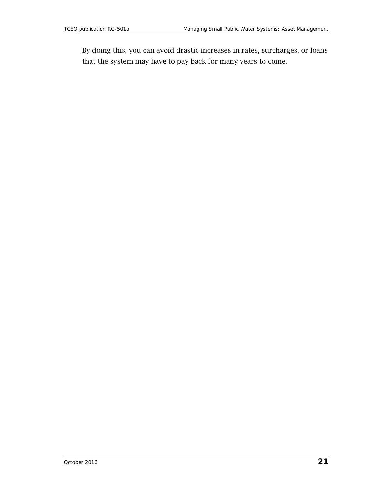By doing this, you can avoid drastic increases in rates, surcharges, or loans that the system may have to pay back for many years to come.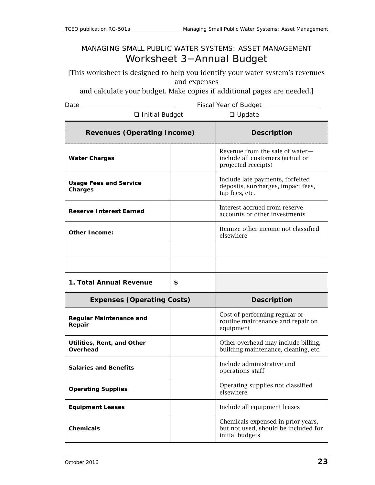### MANAGING SMALL PUBLIC WATER SYSTEMS: ASSET MANAGEMENT Worksheet 3−Annual Budget

[This worksheet is designed to help you identify your water system's revenues and expenses

and calculate your budget. Make copies if additional pages are needed.]

Date Fiscal Year of Budget

| □ Initial Budget                         | $\Box$ Update |                                                                                            |
|------------------------------------------|---------------|--------------------------------------------------------------------------------------------|
| <b>Revenues (Operating Income)</b>       |               | <b>Description</b>                                                                         |
| <b>Water Charges</b>                     |               | Revenue from the sale of water-<br>include all customers (actual or<br>projected receipts) |
| <b>Usage Fees and Service</b><br>Charges |               | Include late payments, forfeited<br>deposits, surcharges, impact fees,<br>tap fees, etc.   |
| <b>Reserve Interest Earned</b>           |               | Interest accrued from reserve<br>accounts or other investments                             |
| Other Income:                            |               |                                                                                            |
|                                          |               |                                                                                            |
|                                          |               |                                                                                            |
| 1. Total Annual Revenue                  | \$            |                                                                                            |
| <b>Expenses (Operating Costs)</b>        |               | <b>Description</b>                                                                         |
| <b>Regular Maintenance and</b><br>Repair |               | Cost of performing regular or<br>routine maintenance and repair on<br>equipment            |
| Utilities, Rent, and Other<br>Overhead   |               | Other overhead may include billing,<br>building maintenance, cleaning, etc.                |
|                                          |               |                                                                                            |
| <b>Salaries and Benefits</b>             |               | Include administrative and<br>operations staff                                             |
| <b>Operating Supplies</b>                |               | Operating supplies not classified<br>elsewhere                                             |
| <b>Equipment Leases</b>                  |               | Include all equipment leases                                                               |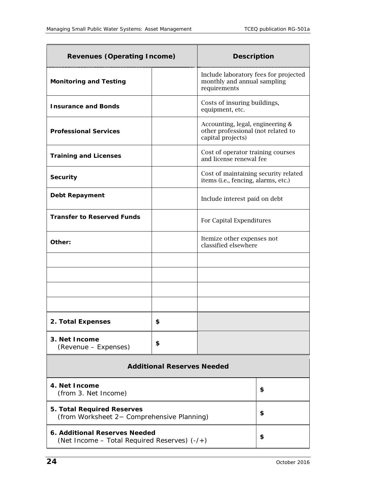| <b>Revenues (Operating Income)</b>                                              |                                   | <b>Description</b>                                                                          |    |  |  |
|---------------------------------------------------------------------------------|-----------------------------------|---------------------------------------------------------------------------------------------|----|--|--|
| <b>Monitoring and Testing</b>                                                   |                                   | Include laboratory fees for projected<br>monthly and annual sampling<br>requirements        |    |  |  |
| <b>Insurance and Bonds</b>                                                      |                                   | Costs of insuring buildings,<br>equipment, etc.                                             |    |  |  |
| <b>Professional Services</b>                                                    |                                   | Accounting, legal, engineering &<br>other professional (not related to<br>capital projects) |    |  |  |
| <b>Training and Licenses</b>                                                    |                                   | Cost of operator training courses<br>and license renewal fee                                |    |  |  |
| <b>Security</b>                                                                 |                                   | Cost of maintaining security related<br>items (i.e., fencing, alarms, etc.)                 |    |  |  |
| <b>Debt Repayment</b>                                                           |                                   | Include interest paid on debt                                                               |    |  |  |
| <b>Transfer to Reserved Funds</b>                                               |                                   | For Capital Expenditures                                                                    |    |  |  |
| Other:                                                                          |                                   | Itemize other expenses not<br>classified elsewhere                                          |    |  |  |
|                                                                                 |                                   |                                                                                             |    |  |  |
|                                                                                 |                                   |                                                                                             |    |  |  |
|                                                                                 |                                   |                                                                                             |    |  |  |
|                                                                                 |                                   |                                                                                             |    |  |  |
| 2. Total Expenses                                                               | \$                                |                                                                                             |    |  |  |
| 3. Net Income<br>(Revenue – Expenses)                                           | \$                                |                                                                                             |    |  |  |
|                                                                                 | <b>Additional Reserves Needed</b> |                                                                                             |    |  |  |
| 4. Net Income<br>(from 3. Net Income)                                           |                                   |                                                                                             | \$ |  |  |
| <b>5. Total Required Reserves</b><br>(from Worksheet 2- Comprehensive Planning) |                                   |                                                                                             | \$ |  |  |
| 6. Additional Reserves Needed<br>(Net Income – Total Required Reserves) (-/+)   |                                   |                                                                                             | \$ |  |  |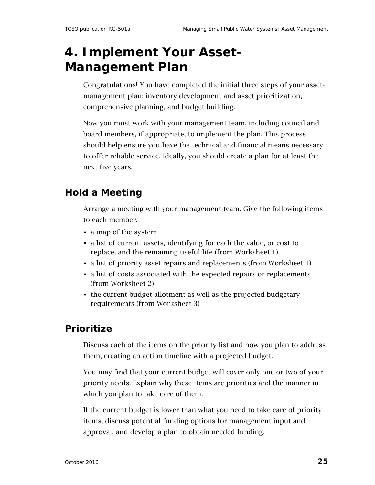# <span id="page-24-0"></span>**4. Implement Your Asset-Management Plan**

Congratulations! You have completed the initial three steps of your assetmanagement plan: inventory development and asset prioritization, comprehensive planning, and budget building.

Now you must work with your management team, including council and board members, if appropriate, to implement the plan. This process should help ensure you have the technical and financial means necessary to offer reliable service. Ideally, you should create a plan for at least the next five years.

# **Hold a Meeting**

Arrange a meeting with your management team. Give the following items to each member.

- a map of the system
- a list of current assets, identifying for each the value, or cost to replace, and the remaining useful life (from Worksheet 1)
- a list of priority asset repairs and replacements (from Worksheet 1)
- a list of costs associated with the expected repairs or replacements (from Worksheet 2)
- the current budget allotment as well as the projected budgetary requirements (from Worksheet 3)

## **Prioritize**

Discuss each of the items on the priority list and how you plan to address them, creating an action timeline with a projected budget.

You may find that your current budget will cover only one or two of your priority needs. Explain why these items are priorities and the manner in which you plan to take care of them.

If the current budget is lower than what you need to take care of priority items, discuss potential funding options for management input and approval, and develop a plan to obtain needed funding.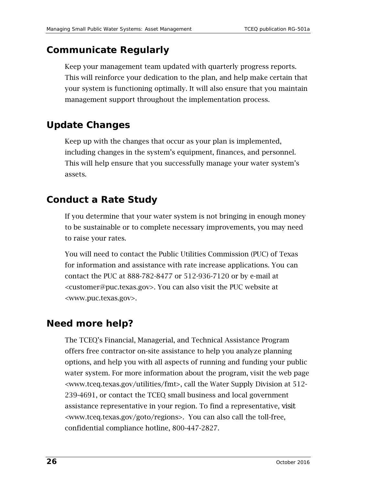## **Communicate Regularly**

Keep your management team updated with quarterly progress reports. This will reinforce your dedication to the plan, and help make certain that your system is functioning optimally. It will also ensure that you maintain management support throughout the implementation process.

## **Update Changes**

Keep up with the changes that occur as your plan is implemented, including changes in the system's equipment, finances, and personnel. This will help ensure that you successfully manage your water system's assets.

## **Conduct a Rate Study**

If you determine that your water system is not bringing in enough money to be sustainable or to complete necessary improvements, you may need to raise your rates.

You will need to contact the Public Utilities Commission (PUC) of Texas for information and assistance with rate increase applications. You can contact the PUC at 888-782-8477 or 512-936-7120 or by e-mail at [<customer@puc.texas.gov>](mailto:customer@puc.texas.gov). You can also visit the PUC website at [<www.puc.texas.gov>](http://www.puc.texas.gov/).

## **Need more help?**

The TCEQ's Financial, Managerial, and Technical Assistance Program offers free contractor on-site assistance to help you analyze planning options, and help you with all aspects of running and funding your public water system. For more information about the program, visit the web page [<www.tceq.texas.gov/utilities/fmt>](http://www.tceq.texas.gov/utilities/fmt), call the Water Supply Division at 512- 239-4691, or contact the TCEQ small business and local government assistance representative in your region. To find a representative, visit <<www.tceq.texas.gov/goto/regions>>. You can also call the toll-free, confidential compliance hotline, 800-447-2827.